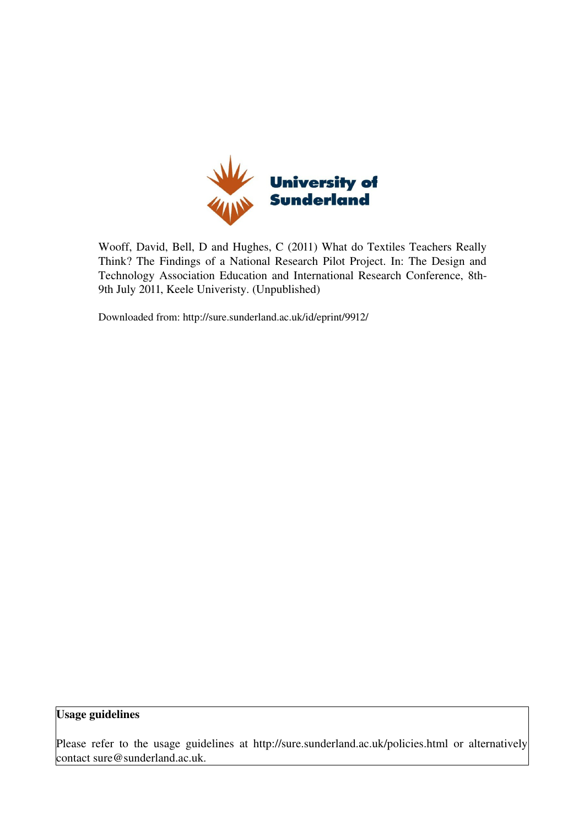

Wooff, David, Bell, D and Hughes, C (2011) What do Textiles Teachers Really Think? The Findings of a National Research Pilot Project. In: The Design and Technology Association Education and International Research Conference, 8th-9th July 2011, Keele Univeristy. (Unpublished)

Downloaded from: http://sure.sunderland.ac.uk/id/eprint/9912/

#### Usage guidelines

Please refer to the usage guidelines at http://sure.sunderland.ac.uk/policies.html or alternatively contact sure@sunderland.ac.uk.